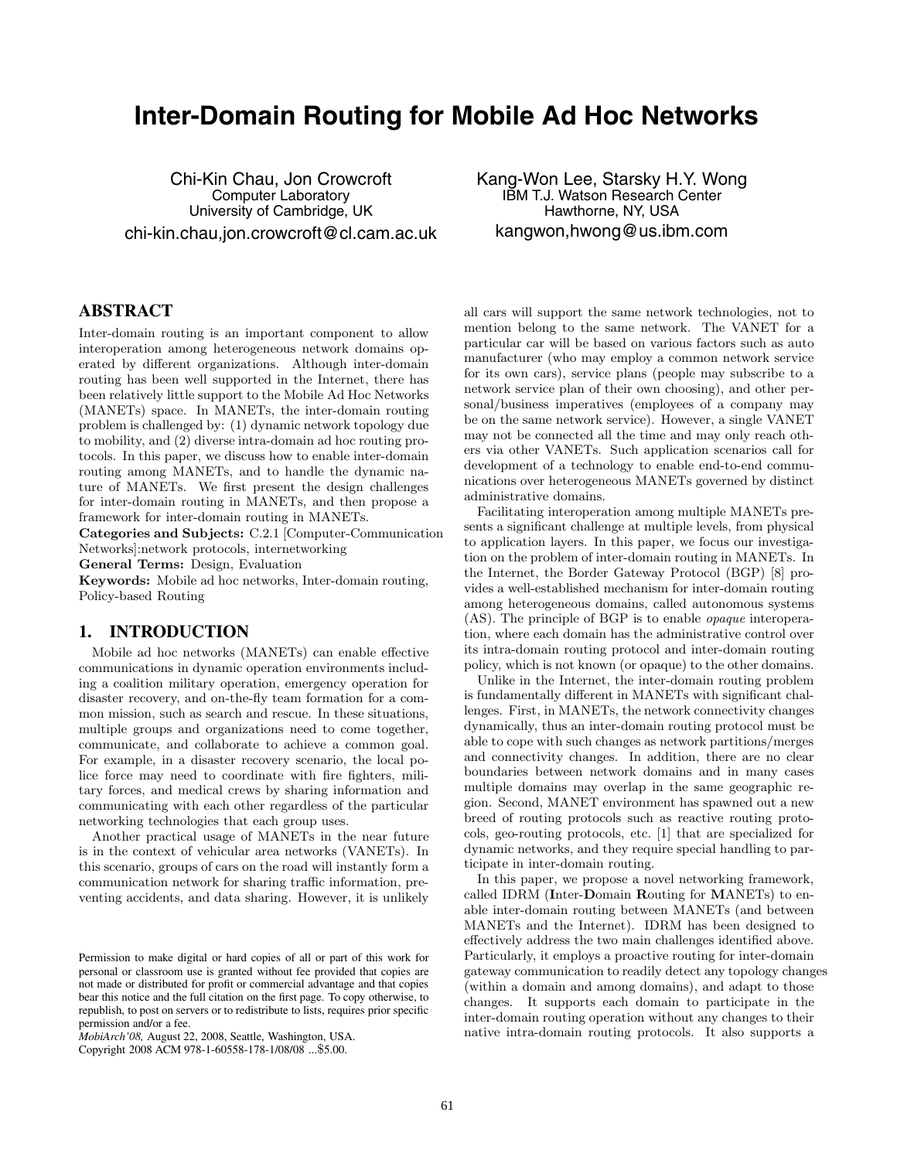# **Inter-Domain Routing for Mobile Ad Hoc Networks**

Chi-Kin Chau, Jon Crowcroft Computer Laboratory University of Cambridge, UK chi-kin.chau,jon.crowcroft@cl.cam.ac.uk

**ABSTRACT**

Inter-domain routing is an important component to allow interoperation among heterogeneous network domains operated by different organizations. Although inter-domain routing has been well supported in the Internet, there has been relatively little support to the Mobile Ad Hoc Networks (MANETs) space. In MANETs, the inter-domain routing problem is challenged by: (1) dynamic network topology due to mobility, and (2) diverse intra-domain ad hoc routing protocols. In this paper, we discuss how to enable inter-domain routing among MANETs, and to handle the dynamic nature of MANETs. We first present the design challenges for inter-domain routing in MANETs, and then propose a framework for inter-domain routing in MANETs.

**Categories and Subjects:** C.2.1 [Computer-Communication Networks]:network protocols, internetworking

**General Terms:** Design, Evaluation

**Keywords:** Mobile ad hoc networks, Inter-domain routing, Policy-based Routing

#### **1. INTRODUCTION**

Mobile ad hoc networks (MANETs) can enable effective communications in dynamic operation environments including a coalition military operation, emergency operation for disaster recovery, and on-the-fly team formation for a common mission, such as search and rescue. In these situations, multiple groups and organizations need to come together, communicate, and collaborate to achieve a common goal. For example, in a disaster recovery scenario, the local police force may need to coordinate with fire fighters, military forces, and medical crews by sharing information and communicating with each other regardless of the particular networking technologies that each group uses.

Another practical usage of MANETs in the near future is in the context of vehicular area networks (VANETs). In this scenario, groups of cars on the road will instantly form a communication network for sharing traffic information, preventing accidents, and data sharing. However, it is unlikely

Kang-Won Lee, Starsky H.Y. Wong IBM T.J. Watson Research Center Hawthorne, NY, USA kangwon,hwong@us.ibm.com

all cars will support the same network technologies, not to mention belong to the same network. The VANET for a particular car will be based on various factors such as auto manufacturer (who may employ a common network service for its own cars), service plans (people may subscribe to a network service plan of their own choosing), and other personal/business imperatives (employees of a company may be on the same network service). However, a single VANET may not be connected all the time and may only reach others via other VANETs. Such application scenarios call for development of a technology to enable end-to-end communications over heterogeneous MANETs governed by distinct administrative domains.

Facilitating interoperation among multiple MANETs presents a significant challenge at multiple levels, from physical to application layers. In this paper, we focus our investigation on the problem of inter-domain routing in MANETs. In the Internet, the Border Gateway Protocol (BGP) [8] provides a well-established mechanism for inter-domain routing among heterogeneous domains, called autonomous systems (AS). The principle of BGP is to enable *opaque* interoperation, where each domain has the administrative control over its intra-domain routing protocol and inter-domain routing policy, which is not known (or opaque) to the other domains.

Unlike in the Internet, the inter-domain routing problem is fundamentally different in MANETs with significant challenges. First, in MANETs, the network connectivity changes dynamically, thus an inter-domain routing protocol must be able to cope with such changes as network partitions/merges and connectivity changes. In addition, there are no clear boundaries between network domains and in many cases multiple domains may overlap in the same geographic region. Second, MANET environment has spawned out a new breed of routing protocols such as reactive routing protocols, geo-routing protocols, etc. [1] that are specialized for dynamic networks, and they require special handling to participate in inter-domain routing.

In this paper, we propose a novel networking framework, called IDRM (**I**nter-**D**omain **R**outing for **M**ANETs) to enable inter-domain routing between MANETs (and between MANETs and the Internet). IDRM has been designed to effectively address the two main challenges identified above. Particularly, it employs a proactive routing for inter-domain gateway communication to readily detect any topology changes (within a domain and among domains), and adapt to those changes. It supports each domain to participate in the inter-domain routing operation without any changes to their native intra-domain routing protocols. It also supports a

Permission to make digital or hard copies of all or part of this work for personal or classroom use is granted without fee provided that copies are not made or distributed for profit or commercial advantage and that copies bear this notice and the full citation on the first page. To copy otherwise, to republish, to post on servers or to redistribute to lists, requires prior specific permission and/or a fee.

*MobiArch'08,* August 22, 2008, Seattle, Washington, USA.

Copyright 2008 ACM 978-1-60558-178-1/08/08 ...\$5.00.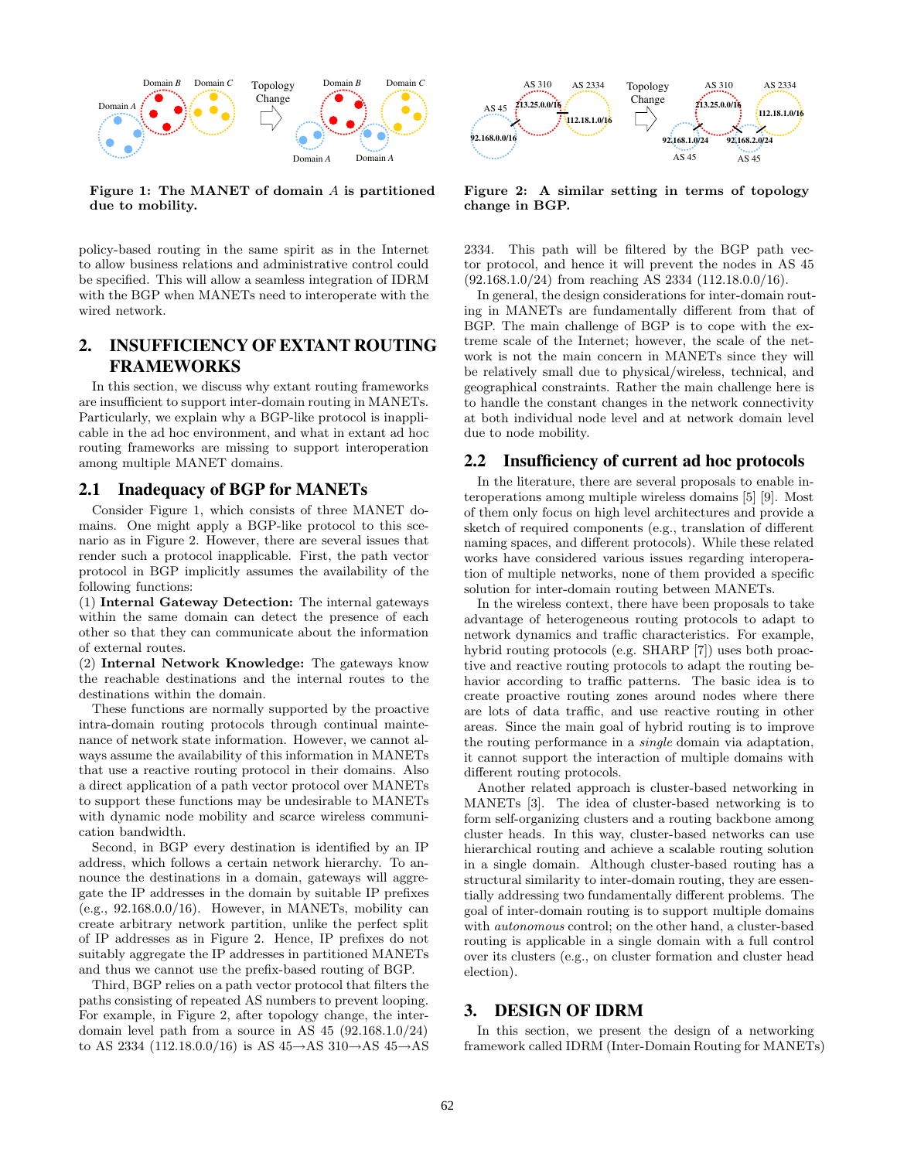

**Figure 1: The MANET of domain** A **is partitioned due to mobility.**

policy-based routing in the same spirit as in the Internet to allow business relations and administrative control could be specified. This will allow a seamless integration of IDRM with the BGP when MANETs need to interoperate with the wired network.

## **2. INSUFFICIENCY OF EXTANT ROUTING FRAMEWORKS**

In this section, we discuss why extant routing frameworks are insufficient to support inter-domain routing in MANETs. Particularly, we explain why a BGP-like protocol is inapplicable in the ad hoc environment, and what in extant ad hoc routing frameworks are missing to support interoperation among multiple MANET domains.

#### **2.1 Inadequacy of BGP for MANETs**

Consider Figure 1, which consists of three MANET domains. One might apply a BGP-like protocol to this scenario as in Figure 2. However, there are several issues that render such a protocol inapplicable. First, the path vector protocol in BGP implicitly assumes the availability of the following functions:

(1) **Internal Gateway Detection:** The internal gateways within the same domain can detect the presence of each other so that they can communicate about the information of external routes.

(2) **Internal Network Knowledge:** The gateways know the reachable destinations and the internal routes to the destinations within the domain.

These functions are normally supported by the proactive intra-domain routing protocols through continual maintenance of network state information. However, we cannot always assume the availability of this information in MANETs that use a reactive routing protocol in their domains. Also a direct application of a path vector protocol over MANETs to support these functions may be undesirable to MANETs with dynamic node mobility and scarce wireless communication bandwidth.

Second, in BGP every destination is identified by an IP address, which follows a certain network hierarchy. To announce the destinations in a domain, gateways will aggregate the IP addresses in the domain by suitable IP prefixes  $(e.g., 92.168.0.0/16)$ . However, in MANETs, mobility can create arbitrary network partition, unlike the perfect split of IP addresses as in Figure 2. Hence, IP prefixes do not suitably aggregate the IP addresses in partitioned MANETs and thus we cannot use the prefix-based routing of BGP.

Third, BGP relies on a path vector protocol that filters the paths consisting of repeated AS numbers to prevent looping. For example, in Figure 2, after topology change, the interdomain level path from a source in AS 45 (92.168.1.0/24) to AS 2334 (112.18.0.0/16) is AS  $45\rightarrow$ AS  $310\rightarrow$ AS  $45\rightarrow$ AS



**Figure 2: A similar setting in terms of topology change in BGP.**

2334. This path will be filtered by the BGP path vector protocol, and hence it will prevent the nodes in AS 45 (92.168.1.0/24) from reaching AS 2334 (112.18.0.0/16).

In general, the design considerations for inter-domain routing in MANETs are fundamentally different from that of BGP. The main challenge of BGP is to cope with the extreme scale of the Internet; however, the scale of the network is not the main concern in MANETs since they will be relatively small due to physical/wireless, technical, and geographical constraints. Rather the main challenge here is to handle the constant changes in the network connectivity at both individual node level and at network domain level due to node mobility.

#### **2.2 Insufficiency of current ad hoc protocols**

In the literature, there are several proposals to enable interoperations among multiple wireless domains [5] [9]. Most of them only focus on high level architectures and provide a sketch of required components (e.g., translation of different naming spaces, and different protocols). While these related works have considered various issues regarding interoperation of multiple networks, none of them provided a specific solution for inter-domain routing between MANETs.

In the wireless context, there have been proposals to take advantage of heterogeneous routing protocols to adapt to network dynamics and traffic characteristics. For example, hybrid routing protocols (e.g. SHARP [7]) uses both proactive and reactive routing protocols to adapt the routing behavior according to traffic patterns. The basic idea is to create proactive routing zones around nodes where there are lots of data traffic, and use reactive routing in other areas. Since the main goal of hybrid routing is to improve the routing performance in a *single* domain via adaptation, it cannot support the interaction of multiple domains with different routing protocols.

Another related approach is cluster-based networking in MANETs [3]. The idea of cluster-based networking is to form self-organizing clusters and a routing backbone among cluster heads. In this way, cluster-based networks can use hierarchical routing and achieve a scalable routing solution in a single domain. Although cluster-based routing has a structural similarity to inter-domain routing, they are essentially addressing two fundamentally different problems. The goal of inter-domain routing is to support multiple domains with *autonomous* control; on the other hand, a cluster-based routing is applicable in a single domain with a full control over its clusters (e.g., on cluster formation and cluster head election).

#### **3. DESIGN OF IDRM**

In this section, we present the design of a networking framework called IDRM (Inter-Domain Routing for MANETs)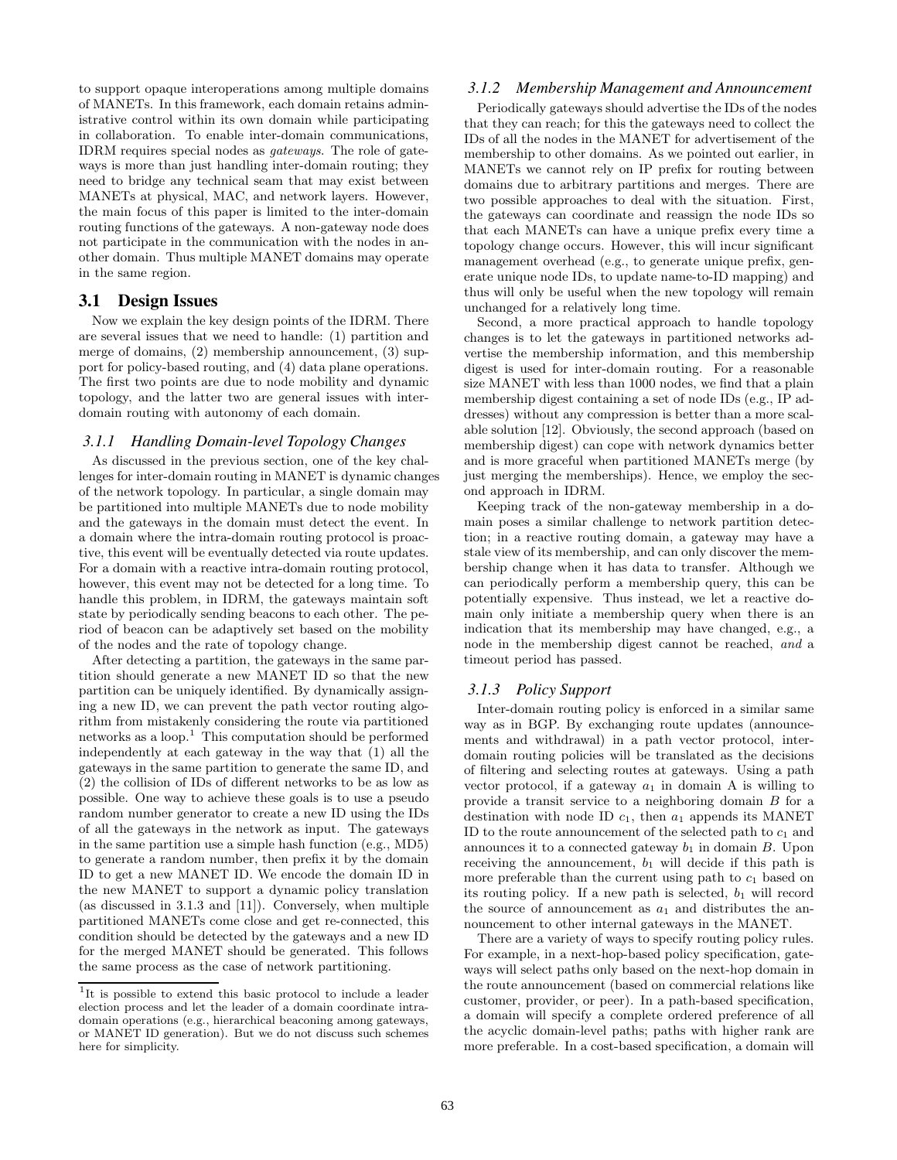to support opaque interoperations among multiple domains of MANETs. In this framework, each domain retains administrative control within its own domain while participating in collaboration. To enable inter-domain communications, IDRM requires special nodes as *gateways*. The role of gateways is more than just handling inter-domain routing; they need to bridge any technical seam that may exist between MANETs at physical, MAC, and network layers. However, the main focus of this paper is limited to the inter-domain routing functions of the gateways. A non-gateway node does not participate in the communication with the nodes in another domain. Thus multiple MANET domains may operate in the same region.

#### **3.1 Design Issues**

Now we explain the key design points of the IDRM. There are several issues that we need to handle: (1) partition and merge of domains, (2) membership announcement, (3) support for policy-based routing, and (4) data plane operations. The first two points are due to node mobility and dynamic topology, and the latter two are general issues with interdomain routing with autonomy of each domain.

#### *3.1.1 Handling Domain-level Topology Changes*

As discussed in the previous section, one of the key challenges for inter-domain routing in MANET is dynamic changes of the network topology. In particular, a single domain may be partitioned into multiple MANETs due to node mobility and the gateways in the domain must detect the event. In a domain where the intra-domain routing protocol is proactive, this event will be eventually detected via route updates. For a domain with a reactive intra-domain routing protocol, however, this event may not be detected for a long time. To handle this problem, in IDRM, the gateways maintain soft state by periodically sending beacons to each other. The period of beacon can be adaptively set based on the mobility of the nodes and the rate of topology change.

After detecting a partition, the gateways in the same partition should generate a new MANET ID so that the new partition can be uniquely identified. By dynamically assigning a new ID, we can prevent the path vector routing algorithm from mistakenly considering the route via partitioned networks as a loop.<sup>1</sup> This computation should be performed independently at each gateway in the way that (1) all the gateways in the same partition to generate the same ID, and (2) the collision of IDs of different networks to be as low as possible. One way to achieve these goals is to use a pseudo random number generator to create a new ID using the IDs of all the gateways in the network as input. The gateways in the same partition use a simple hash function (e.g., MD5) to generate a random number, then prefix it by the domain ID to get a new MANET ID. We encode the domain ID in the new MANET to support a dynamic policy translation (as discussed in 3.1.3 and [11]). Conversely, when multiple partitioned MANETs come close and get re-connected, this condition should be detected by the gateways and a new ID for the merged MANET should be generated. This follows the same process as the case of network partitioning.

#### *3.1.2 Membership Management and Announcement*

Periodically gateways should advertise the IDs of the nodes that they can reach; for this the gateways need to collect the IDs of all the nodes in the MANET for advertisement of the membership to other domains. As we pointed out earlier, in MANETs we cannot rely on IP prefix for routing between domains due to arbitrary partitions and merges. There are two possible approaches to deal with the situation. First, the gateways can coordinate and reassign the node IDs so that each MANETs can have a unique prefix every time a topology change occurs. However, this will incur significant management overhead (e.g., to generate unique prefix, generate unique node IDs, to update name-to-ID mapping) and thus will only be useful when the new topology will remain unchanged for a relatively long time.

Second, a more practical approach to handle topology changes is to let the gateways in partitioned networks advertise the membership information, and this membership digest is used for inter-domain routing. For a reasonable size MANET with less than 1000 nodes, we find that a plain membership digest containing a set of node IDs (e.g., IP addresses) without any compression is better than a more scalable solution [12]. Obviously, the second approach (based on membership digest) can cope with network dynamics better and is more graceful when partitioned MANETs merge (by just merging the memberships). Hence, we employ the second approach in IDRM.

Keeping track of the non-gateway membership in a domain poses a similar challenge to network partition detection; in a reactive routing domain, a gateway may have a stale view of its membership, and can only discover the membership change when it has data to transfer. Although we can periodically perform a membership query, this can be potentially expensive. Thus instead, we let a reactive domain only initiate a membership query when there is an indication that its membership may have changed, e.g., a node in the membership digest cannot be reached, *and* a timeout period has passed.

#### *3.1.3 Policy Support*

Inter-domain routing policy is enforced in a similar same way as in BGP. By exchanging route updates (announcements and withdrawal) in a path vector protocol, interdomain routing policies will be translated as the decisions of filtering and selecting routes at gateways. Using a path vector protocol, if a gateway  $a_1$  in domain A is willing to provide a transit service to a neighboring domain B for a destination with node ID  $c_1$ , then  $a_1$  appends its MANET ID to the route announcement of the selected path to  $c_1$  and announces it to a connected gateway  $b_1$  in domain B. Upon receiving the announcement,  $b_1$  will decide if this path is more preferable than the current using path to  $c_1$  based on its routing policy. If a new path is selected,  $b_1$  will record the source of announcement as  $a_1$  and distributes the announcement to other internal gateways in the MANET.

There are a variety of ways to specify routing policy rules. For example, in a next-hop-based policy specification, gateways will select paths only based on the next-hop domain in the route announcement (based on commercial relations like customer, provider, or peer). In a path-based specification, a domain will specify a complete ordered preference of all the acyclic domain-level paths; paths with higher rank are more preferable. In a cost-based specification, a domain will

<sup>&</sup>lt;sup>1</sup>It is possible to extend this basic protocol to include a leader election process and let the leader of a domain coordinate intradomain operations (e.g., hierarchical beaconing among gateways, or MANET ID generation). But we do not discuss such schemes here for simplicity.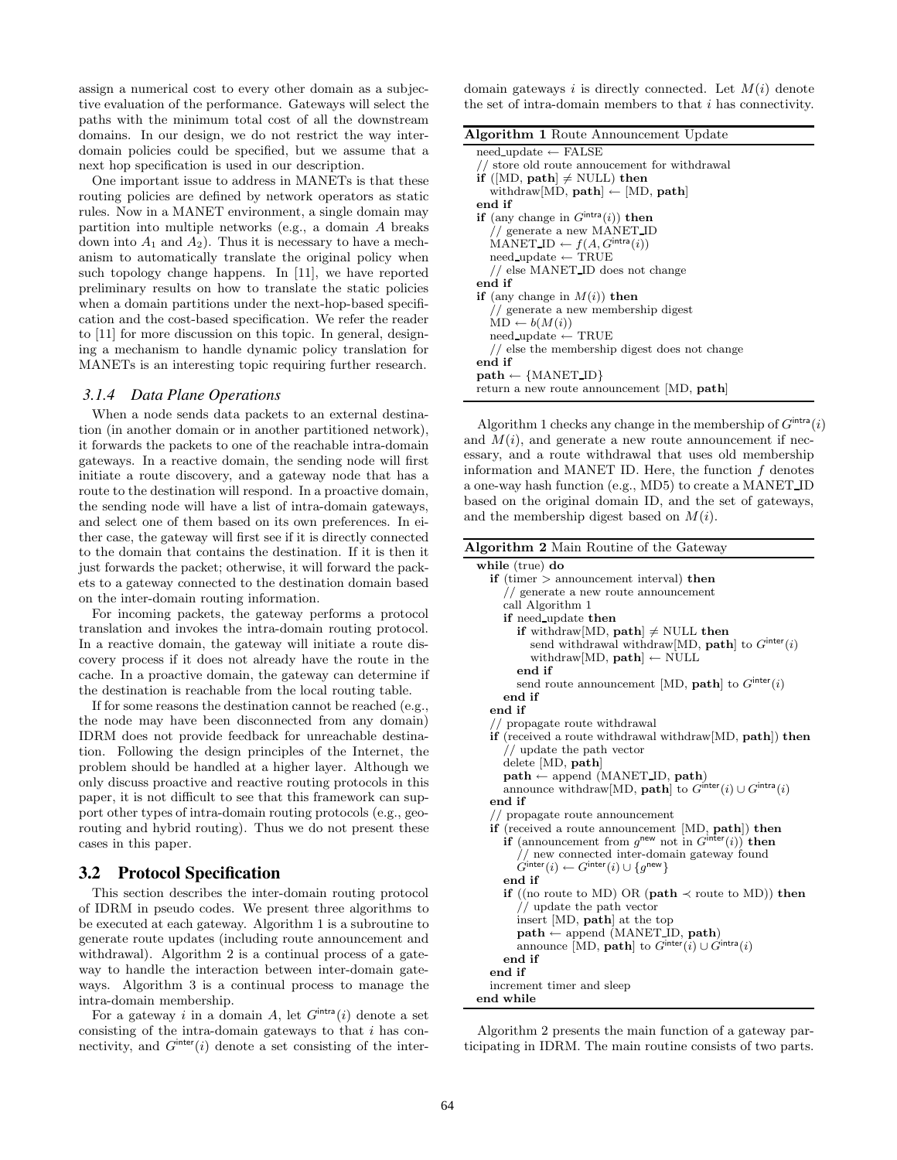assign a numerical cost to every other domain as a subjective evaluation of the performance. Gateways will select the paths with the minimum total cost of all the downstream domains. In our design, we do not restrict the way interdomain policies could be specified, but we assume that a next hop specification is used in our description.

One important issue to address in MANETs is that these routing policies are defined by network operators as static rules. Now in a MANET environment, a single domain may partition into multiple networks (e.g., a domain A breaks down into  $A_1$  and  $A_2$ ). Thus it is necessary to have a mechanism to automatically translate the original policy when such topology change happens. In [11], we have reported preliminary results on how to translate the static policies when a domain partitions under the next-hop-based specification and the cost-based specification. We refer the reader to [11] for more discussion on this topic. In general, designing a mechanism to handle dynamic policy translation for MANETs is an interesting topic requiring further research.

#### *3.1.4 Data Plane Operations*

When a node sends data packets to an external destination (in another domain or in another partitioned network), it forwards the packets to one of the reachable intra-domain gateways. In a reactive domain, the sending node will first initiate a route discovery, and a gateway node that has a route to the destination will respond. In a proactive domain, the sending node will have a list of intra-domain gateways, and select one of them based on its own preferences. In either case, the gateway will first see if it is directly connected to the domain that contains the destination. If it is then it just forwards the packet; otherwise, it will forward the packets to a gateway connected to the destination domain based on the inter-domain routing information.

For incoming packets, the gateway performs a protocol translation and invokes the intra-domain routing protocol. In a reactive domain, the gateway will initiate a route discovery process if it does not already have the route in the cache. In a proactive domain, the gateway can determine if the destination is reachable from the local routing table.

If for some reasons the destination cannot be reached (e.g., the node may have been disconnected from any domain) IDRM does not provide feedback for unreachable destination. Following the design principles of the Internet, the problem should be handled at a higher layer. Although we only discuss proactive and reactive routing protocols in this paper, it is not difficult to see that this framework can support other types of intra-domain routing protocols (e.g., georouting and hybrid routing). Thus we do not present these cases in this paper.

#### **3.2 Protocol Specification**

This section describes the inter-domain routing protocol of IDRM in pseudo codes. We present three algorithms to be executed at each gateway. Algorithm 1 is a subroutine to generate route updates (including route announcement and withdrawal). Algorithm 2 is a continual process of a gateway to handle the interaction between inter-domain gateways. Algorithm 3 is a continual process to manage the intra-domain membership.

For a gateway i in a domain A, let  $G<sup>intra</sup>(i)$  denote a set consisting of the intra-domain gateways to that  $i$  has connectivity, and  $G<sup>inter</sup>(i)$  denote a set consisting of the interdomain gateways i is directly connected. Let  $M(i)$  denote the set of intra-domain members to that i has connectivity.

|  | <b>Algorithm 1 Route Announcement Update</b> |  |
|--|----------------------------------------------|--|
|  |                                              |  |

| $need\_update \leftarrow FALSE$                         |
|---------------------------------------------------------|
| // store old route annoucement for withdrawal           |
| if ( MD, path  $\neq$ NULL) then                        |
| withdraw [MD, $path$   $\leftarrow$ [MD, $path$ ]       |
| end if                                                  |
| if (any change in $Gintra(i)$ ) then                    |
| // generate a new MANET ID                              |
| $\text{MANET\_ID} \leftarrow f(A, G^{\text{intra}}(i))$ |
| $need$ -update $\leftarrow$ TRUE                        |
| $//$ else MANET ID does not change                      |
| end if                                                  |
| <b>if</b> (any change in $M(i)$ ) then                  |
| // generate a new membership digest                     |
| $MD \leftarrow b(M(i))$                                 |
| $need\_update \leftarrow TRUE$                          |
| // else the membership digest does not change           |
| end if                                                  |
| $path \leftarrow \{MANETID\}$                           |
|                                                         |
| return a new route announcement [MD, path]              |

Algorithm 1 checks any change in the membership of  $G<sup>intra</sup>(i)$ and  $M(i)$ , and generate a new route announcement if necessary, and a route withdrawal that uses old membership information and MANET ID. Here, the function  $f$  denotes a one-way hash function (e.g., MD5) to create a MANET ID based on the original domain ID, and the set of gateways, and the membership digest based on  $M(i)$ .

| <b>Algorithm 2</b> Main Routine of the Gateway                                                    |
|---------------------------------------------------------------------------------------------------|
| while (true) do                                                                                   |
| if (timer $>$ announcement interval) then                                                         |
| $//$ generate a new route announcement                                                            |
| call Algorithm 1                                                                                  |
| <b>if</b> need update then                                                                        |
| if withdraw [MD, path] $\neq$ NULL then                                                           |
| send withdrawal withdraw<br>[MD, $\mathbf{path}]$ to $G^{\mathsf{inter}}(i)$                      |
| withdraw [MD, $path$ ] $\leftarrow$ NULL                                                          |
| end if                                                                                            |
| send route announcement [MD, <b>path</b> ] to $G^{\text{inter}}(i)$                               |
| end if                                                                                            |
| end if                                                                                            |
| // propagate route withdrawal                                                                     |
| <b>if</b> (received a route withdrawal withdraw[MD, <b>path</b> ]) then                           |
| $//$ update the path vector                                                                       |
| delete [MD, path]                                                                                 |
| $path \leftarrow append (MANET.ID, path)$                                                         |
| announce withdraw<br>[MD, $\mathbf{path}$ ] to $G^{\mathsf{inter}}(i) \cup G^{\mathsf{intra}}(i)$ |
| end if                                                                                            |
| // propagate route announcement                                                                   |
| if (received a route announcement [MD, path]) then                                                |
| if (announcement from $g^{\text{new}}$ not in $G^{\text{inter}}(i)$ ) then                        |
| // new connected inter-domain gateway found                                                       |
| $Ginter(i) \leftarrow Ginter(i) \cup \{gnew\}$                                                    |
| end if                                                                                            |
| if ((no route to MD) OR (path $\prec$ route to MD)) then                                          |
| // update the path vector                                                                         |
| insert [MD, <b>path</b> ] at the top                                                              |
| $path \leftarrow append (MANET.ID, path)$                                                         |
| announce [MD, <b>path</b> ] to $G^{inter}(i) \cup G^{intra}(i)$                                   |
| end if                                                                                            |
| end if                                                                                            |
| increment timer and sleep                                                                         |
| end while                                                                                         |

Algorithm 2 presents the main function of a gateway participating in IDRM. The main routine consists of two parts.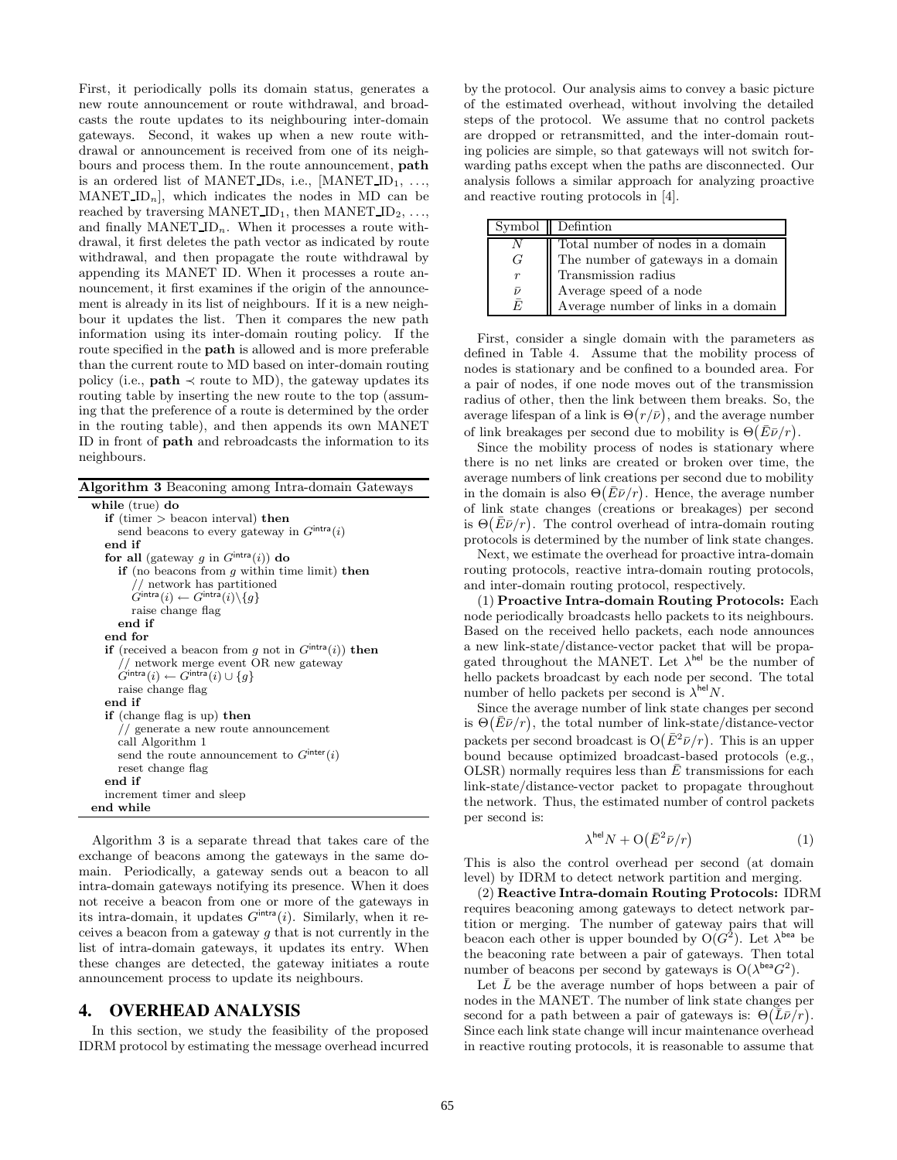First, it periodically polls its domain status, generates a new route announcement or route withdrawal, and broadcasts the route updates to its neighbouring inter-domain gateways. Second, it wakes up when a new route withdrawal or announcement is received from one of its neighbours and process them. In the route announcement, **path** is an ordered list of MANET IDs, i.e.,  $[MANETID_1, \ldots,$  $MANET\_ID_n$ , which indicates the nodes in MD can be reached by traversing MANET ID<sub>1</sub>, then MANET ID<sub>2</sub>, ..., and finally MANET  $ID_n$ . When it processes a route withdrawal, it first deletes the path vector as indicated by route withdrawal, and then propagate the route withdrawal by appending its MANET ID. When it processes a route announcement, it first examines if the origin of the announcement is already in its list of neighbours. If it is a new neighbour it updates the list. Then it compares the new path information using its inter-domain routing policy. If the route specified in the **path** is allowed and is more preferable than the current route to MD based on inter-domain routing policy (i.e.,  $path \prec route$  to MD), the gateway updates its routing table by inserting the new route to the top (assuming that the preference of a route is determined by the order in the routing table), and then appends its own MANET ID in front of **path** and rebroadcasts the information to its neighbours.

| <b>Algorithm 3</b> Beaconing among Intra-domain Gateways    |
|-------------------------------------------------------------|
| while (true) do                                             |
| if (timer $>$ beacon interval) then                         |
| send beacons to every gateway in $Gintra(i)$                |
| end if                                                      |
| for all (gateway g in $Gintra(i)$ ) do                      |
| <b>if</b> (no beacons from q within time limit) <b>then</b> |
| // network has partitioned                                  |
| $Gintra(i) \leftarrow Gintra(i) \setminus \{g\}$            |
| raise change flag                                           |
| end if                                                      |
| end for                                                     |
| if (received a beacon from g not in $Gintra(i)$ ) then      |
| // network merge event OR new gateway                       |
| $Gintra(i) \leftarrow Gintra(i) \cup \{g\}$                 |
| raise change flag                                           |
| end if                                                      |
| <b>if</b> (change flag is up) <b>then</b>                   |
| $//$ generate a new route announcement                      |
| call Algorithm 1                                            |
| send the route announcement to $Ginter(i)$                  |
| reset change flag                                           |

Algorithm 3 is a separate thread that takes care of the exchange of beacons among the gateways in the same domain. Periodically, a gateway sends out a beacon to all intra-domain gateways notifying its presence. When it does not receive a beacon from one or more of the gateways in its intra-domain, it updates  $G<sup>intra</sup>(i)$ . Similarly, when it receives a beacon from a gateway  $g$  that is not currently in the list of intra-domain gateways, it updates its entry. When these changes are detected, the gateway initiates a route announcement process to update its neighbours.

#### **4. OVERHEAD ANALYSIS**

**end if**

**end while**

increment timer and sleep

In this section, we study the feasibility of the proposed IDRM protocol by estimating the message overhead incurred by the protocol. Our analysis aims to convey a basic picture of the estimated overhead, without involving the detailed steps of the protocol. We assume that no control packets are dropped or retransmitted, and the inter-domain routing policies are simple, so that gateways will not switch forwarding paths except when the paths are disconnected. Our analysis follows a similar approach for analyzing proactive and reactive routing protocols in [4].

| Defintion                           |
|-------------------------------------|
| Total number of nodes in a domain   |
| The number of gateways in a domain  |
| Transmission radius                 |
| Average speed of a node             |
| Average number of links in a domain |
|                                     |

First, consider a single domain with the parameters as defined in Table 4. Assume that the mobility process of nodes is stationary and be confined to a bounded area. For a pair of nodes, if one node moves out of the transmission radius of other, then the link between them breaks. So, the average lifespan of a link is  $\Theta(r/\bar{\nu})$ , and the average number<br>of link breakages nor second due to mobility is  $\Theta(\bar{\nu}_{\bar{\nu}}/r)$ of link breakages per second due to mobility is  $\Theta(\bar{E}\bar{\nu}/r)$ .<br>Since the mobility process of nodes is stationary who

Since the mobility process of nodes is stationary where there is no net links are created or broken over time, the average numbers of link creations per second due to mobility in the domain is also  $\Theta(\bar{E}\bar{\nu}/r)$ . Hence, the average number<br>of link state changes (creations or breakages) per second of link state changes (creations or breakages) per second is  $\Theta(\bar{E}\bar{\nu}/r)$ . The control overhead of intra-domain routing<br>protocols is determined by the number of link state changes protocols is determined by the number of link state changes.

Next, we estimate the overhead for proactive intra-domain routing protocols, reactive intra-domain routing protocols, and inter-domain routing protocol, respectively.

(1) **Proactive Intra-domain Routing Protocols:** Each node periodically broadcasts hello packets to its neighbours. Based on the received hello packets, each node announces a new link-state/distance-vector packet that will be propagated throughout the MANET. Let  $\lambda^{hel}$  be the number of hello packets broadcast by each node per second. The total number of hello packets per second is  $\lambda^{\text{hel}}N$ .

Since the average number of link state changes per second is  $\Theta(\bar{E}\bar{\nu}/r)$ , the total number of link-state/distance-vector packets per second broadcast is  $O(E^2 \bar{\nu}/r)$ . This is an upper<br>bound because optimized broadcast-based protocols (e.g. bound because optimized broadcast-based protocols (e.g., OLSR) normally requires less than  $\bar{E}$  transmissions for each link-state/distance-vector packet to propagate throughout the network. Thus, the estimated number of control packets per second is:

$$
\lambda^{\text{hel}} N + \mathcal{O}(\bar{E}^2 \bar{\nu}/r) \tag{1}
$$

This is also the control overhead per second (at domain level) by IDRM to detect network partition and merging.

(2) **Reactive Intra-domain Routing Protocols:** IDRM requires beaconing among gateways to detect network partition or merging. The number of gateway pairs that will beacon each other is upper bounded by  $O(G^2)$ . Let  $\lambda^{bea}$  be the beaconing rate between a pair of gateways. Then total number of beacons per second by gateways is  $O(\lambda^{\text{bea}}G^2)$ .

Let  $L$  be the average number of hops between a pair of nodes in the MANET. The number of link state changes per second for a path between a pair of gateways is:  $\Theta(\bar{L}\bar{\nu}/r)$ .<br>Since each link state change will incur maintenance overhead Since each link state change will incur maintenance overhead in reactive routing protocols, it is reasonable to assume that